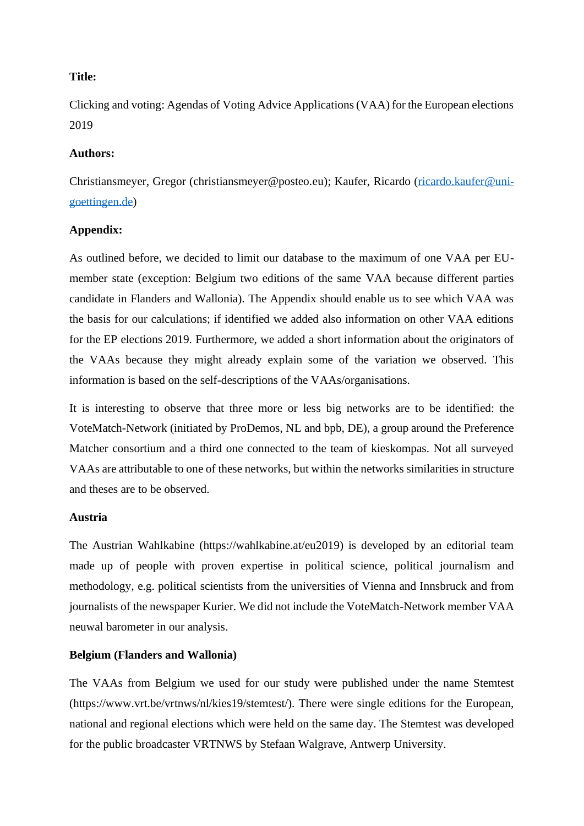# **Title:**

Clicking and voting: Agendas of Voting Advice Applications (VAA) for the European elections 2019

## **Authors:**

Christiansmeyer, Gregor (christiansmeyer@posteo.eu); Kaufer, Ricardo [\(ricardo.kaufer@uni](mailto:ricardo.kaufer@uni-goettingen.de)[goettingen.de\)](mailto:ricardo.kaufer@uni-goettingen.de)

# **Appendix:**

As outlined before, we decided to limit our database to the maximum of one VAA per EUmember state (exception: Belgium two editions of the same VAA because different parties candidate in Flanders and Wallonia). The Appendix should enable us to see which VAA was the basis for our calculations; if identified we added also information on other VAA editions for the EP elections 2019. Furthermore, we added a short information about the originators of the VAAs because they might already explain some of the variation we observed. This information is based on the self-descriptions of the VAAs/organisations.

It is interesting to observe that three more or less big networks are to be identified: the VoteMatch-Network (initiated by ProDemos, NL and bpb, DE), a group around the Preference Matcher consortium and a third one connected to the team of kieskompas. Not all surveyed VAAs are attributable to one of these networks, but within the networks similarities in structure and theses are to be observed.

## **Austria**

The Austrian Wahlkabine (https://wahlkabine.at/eu2019) is developed by an editorial team made up of people with proven expertise in political science, political journalism and methodology, e.g. political scientists from the universities of Vienna and Innsbruck and from journalists of the newspaper Kurier. We did not include the VoteMatch-Network member VAA neuwal barometer in our analysis.

## **Belgium (Flanders and Wallonia)**

The VAAs from Belgium we used for our study were published under the name Stemtest (https://www.vrt.be/vrtnws/nl/kies19/stemtest/). There were single editions for the European, national and regional elections which were held on the same day. The Stemtest was developed for the public broadcaster VRTNWS by Stefaan Walgrave, Antwerp University.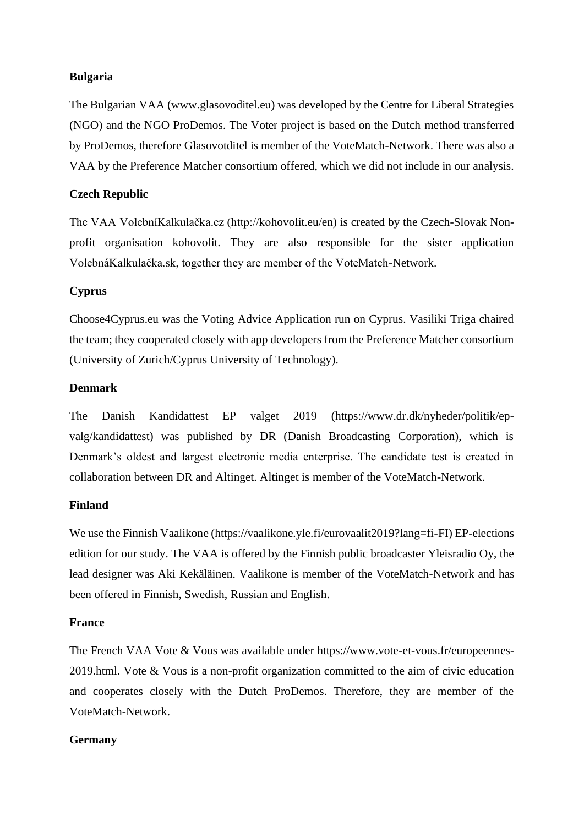# **Bulgaria**

The Bulgarian VAA (www.glasovoditel.eu) was developed by the Centre for Liberal Strategies (NGO) and the NGO ProDemos. The Voter project is based on the Dutch method transferred by ProDemos, therefore Glasovotditel is member of the VoteMatch-Network. There was also a VAA by the Preference Matcher consortium offered, which we did not include in our analysis.

# **Czech Republic**

The VAA VolebníKalkulačka.cz (http://kohovolit.eu/en) is created by the Czech-Slovak Nonprofit organisation kohovolit. They are also responsible for the sister application VolebnáKalkulačka.sk, together they are member of the VoteMatch-Network.

# **Cyprus**

Choose4Cyprus.eu was the Voting Advice Application run on Cyprus. Vasiliki Triga chaired the team; they cooperated closely with app developers from the Preference Matcher consortium (University of Zurich/Cyprus University of Technology).

# **Denmark**

The Danish Kandidattest EP valget 2019 (https://www.dr.dk/nyheder/politik/epvalg/kandidattest) was published by DR (Danish Broadcasting Corporation), which is Denmark's oldest and largest electronic media enterprise. The candidate test is created in collaboration between DR and Altinget. Altinget is member of the VoteMatch-Network.

## **Finland**

We use the Finnish Vaalikone (https://vaalikone.yle.fi/eurovaalit2019?lang=fi-FI) EP-elections edition for our study. The VAA is offered by the Finnish public broadcaster Yleisradio Oy, the lead designer was Aki Kekäläinen. Vaalikone is member of the VoteMatch-Network and has been offered in Finnish, Swedish, Russian and English.

## **France**

The French VAA Vote & Vous was available under https://www.vote-et-vous.fr/europeennes-2019.html. Vote & Vous is a non-profit organization committed to the aim of civic education and cooperates closely with the Dutch ProDemos. Therefore, they are member of the VoteMatch-Network.

# **Germany**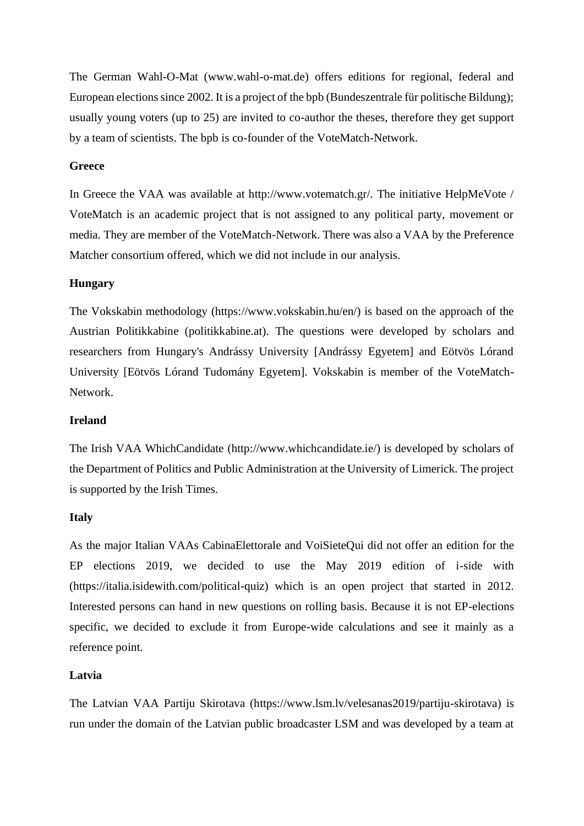The German Wahl-O-Mat (www.wahl-o-mat.de) offers editions for regional, federal and European elections since 2002. It is a project of the bpb (Bundeszentrale für politische Bildung); usually young voters (up to 25) are invited to co-author the theses, therefore they get support by a team of scientists. The bpb is co-founder of the VoteMatch-Network.

## **Greece**

In Greece the VAA was available at http://www.votematch.gr/. The initiative HelpMeVote / VoteMatch is an academic project that is not assigned to any political party, movement or media. They are member of the VoteMatch-Network. There was also a VAA by the Preference Matcher consortium offered, which we did not include in our analysis.

#### **Hungary**

The Vokskabin methodology (https://www.vokskabin.hu/en/) is based on the approach of the Austrian Politikkabine (politikkabine.at). The questions were developed by scholars and researchers from Hungary's Andrássy University [Andrássy Egyetem] and Eötvös Lórand University [Eötvös Lórand Tudomány Egyetem]. Vokskabin is member of the VoteMatch-Network.

#### **Ireland**

The Irish VAA WhichCandidate (http://www.whichcandidate.ie/) is developed by scholars of the Department of Politics and Public Administration at the University of Limerick. The project is supported by the Irish Times.

#### **Italy**

As the major Italian VAAs CabinaElettorale and VoiSieteQui did not offer an edition for the EP elections 2019, we decided to use the May 2019 edition of i-side with (https://italia.isidewith.com/political-quiz) which is an open project that started in 2012. Interested persons can hand in new questions on rolling basis. Because it is not EP-elections specific, we decided to exclude it from Europe-wide calculations and see it mainly as a reference point.

#### **Latvia**

The Latvian VAA Partiju Skirotava (https://www.lsm.lv/velesanas2019/partiju-skirotava) is run under the domain of the Latvian public broadcaster LSM and was developed by a team at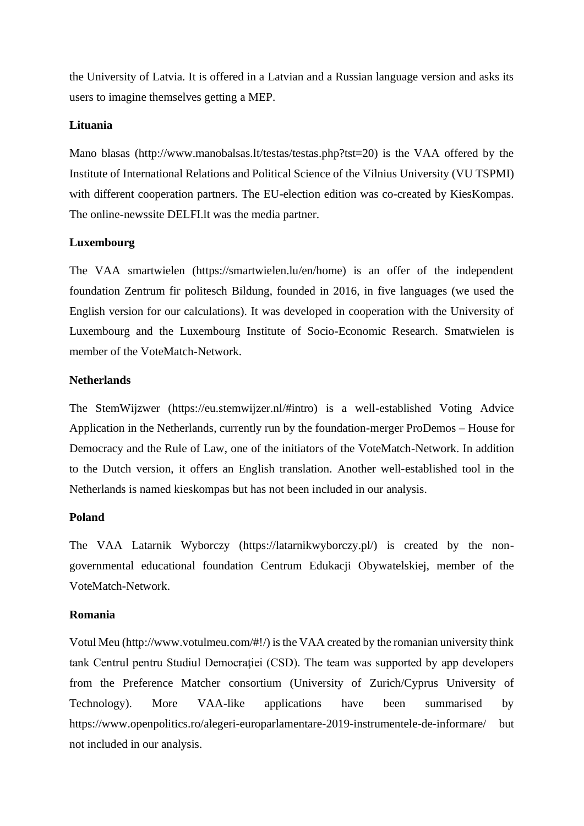the University of Latvia. It is offered in a Latvian and a Russian language version and asks its users to imagine themselves getting a MEP.

## **Lituania**

Mano blasas (http://www.manobalsas.lt/testas/testas.php?tst=20) is the VAA offered by the Institute of International Relations and Political Science of the Vilnius University (VU TSPMI) with different cooperation partners. The EU-election edition was co-created by KiesKompas. The online-newssite DELFI.lt was the media partner.

#### **Luxembourg**

The VAA smartwielen (https://smartwielen.lu/en/home) is an offer of the independent foundation Zentrum fir politesch Bildung, founded in 2016, in five languages (we used the English version for our calculations). It was developed in cooperation with the University of Luxembourg and the Luxembourg Institute of Socio-Economic Research. Smatwielen is member of the VoteMatch-Network.

#### **Netherlands**

The StemWijzwer (https://eu.stemwijzer.nl/#intro) is a well-established Voting Advice Application in the Netherlands, currently run by the foundation-merger ProDemos – House for Democracy and the Rule of Law, one of the initiators of the VoteMatch-Network. In addition to the Dutch version, it offers an English translation. Another well-established tool in the Netherlands is named kieskompas but has not been included in our analysis.

### **Poland**

The VAA Latarnik Wyborczy (https://latarnikwyborczy.pl/) is created by the nongovernmental educational foundation Centrum Edukacji Obywatelskiej, member of the VoteMatch-Network.

#### **Romania**

Votul Meu (http://www.votulmeu.com/#!/) is the VAA created by the romanian university think tank Centrul pentru Studiul Democraţiei (CSD). The team was supported by app developers from the Preference Matcher consortium (University of Zurich/Cyprus University of Technology). More VAA-like applications have been summarised by https://www.openpolitics.ro/alegeri-europarlamentare-2019-instrumentele-de-informare/ but not included in our analysis.